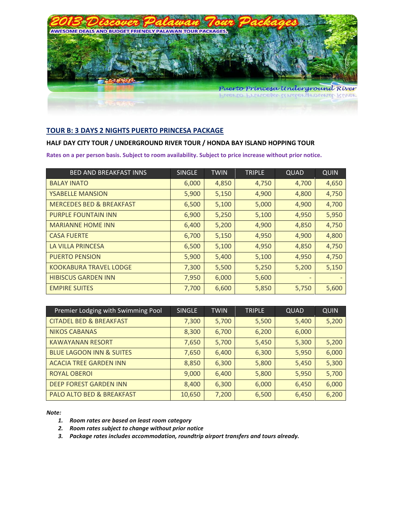

# **TOUR B: 3 DAYS 2 NIGHTS PUERTO PRINCESA PACKAGE**

# **HALF DAY CITY TOUR / UNDERGROUND RIVER TOUR / HONDA BAY ISLAND HOPPING TOUR**

**Rates on a per person basis. Subject to room availability. Subject to price increase without prior notice.**

| <b>BED AND BREAKFAST INNS</b>       | <b>SINGLE</b> | <b>TWIN</b> | <b>TRIPLE</b> | QUAD  | <b>QUIN</b> |
|-------------------------------------|---------------|-------------|---------------|-------|-------------|
| <b>BALAY INATO</b>                  | 6,000         | 4,850       | 4,750         | 4,700 | 4,650       |
| <b>YSABELLE MANSION</b>             | 5,900         | 5,150       | 4,900         | 4,800 | 4,750       |
| <b>MERCEDES BED &amp; BREAKFAST</b> | 6,500         | 5,100       | 5,000         | 4,900 | 4,700       |
| <b>PURPLE FOUNTAIN INN</b>          | 6,900         | 5,250       | 5,100         | 4,950 | 5,950       |
| <b>MARIANNE HOME INN</b>            | 6,400         | 5,200       | 4,900         | 4,850 | 4,750       |
| <b>CASA FUERTE</b>                  | 6,700         | 5,150       | 4,950         | 4,900 | 4,800       |
| LA VILLA PRINCESA                   | 6,500         | 5,100       | 4,950         | 4,850 | 4,750       |
| <b>PUERTO PENSION</b>               | 5,900         | 5,400       | 5,100         | 4,950 | 4,750       |
| <b>KOOKABURA TRAVEL LODGE</b>       | 7,300         | 5,500       | 5,250         | 5,200 | 5,150       |
| <b>HIBISCUS GARDEN INN</b>          | 7,950         | 6,000       | 5,600         |       |             |
| <b>EMPIRE SUITES</b>                | 7,700         | 6,600       | 5,850         | 5,750 | 5,600       |

| Premier Lodging with Swimming Pool   | <b>SINGLE</b> | <b>TWIN</b> | <b>TRIPLE</b> | QUAD  | <b>QUIN</b> |
|--------------------------------------|---------------|-------------|---------------|-------|-------------|
| <b>CITADEL BED &amp; BREAKFAST</b>   | 7,300         | 5,700       | 5,500         | 5,400 | 5,200       |
| <b>NIKOS CABANAS</b>                 | 8,300         | 6,700       | 6,200         | 6,000 |             |
| <b>KAWAYANAN RESORT</b>              | 7,650         | 5,700       | 5,450         | 5,300 | 5,200       |
| <b>BLUE LAGOON INN &amp; SUITES</b>  | 7,650         | 6,400       | 6,300         | 5,950 | 6,000       |
| <b>ACACIA TREE GARDEN INN</b>        | 8,850         | 6,300       | 5,800         | 5,450 | 5,300       |
| <b>ROYAL OBEROI</b>                  | 9,000         | 6,400       | 5,800         | 5,950 | 5,700       |
| <b>DEEP FOREST GARDEN INN</b>        | 8,400         | 6,300       | 6,000         | 6,450 | 6,000       |
| <b>PALO ALTO BED &amp; BREAKFAST</b> | 10,650        | 7,200       | 6,500         | 6,450 | 6,200       |

*Note:*

- *1. Room rates are based on least room category*
- *2. Room rates subject to change without prior notice*
- *3. Package rates includes accommodation, roundtrip airport transfers and tours already.*